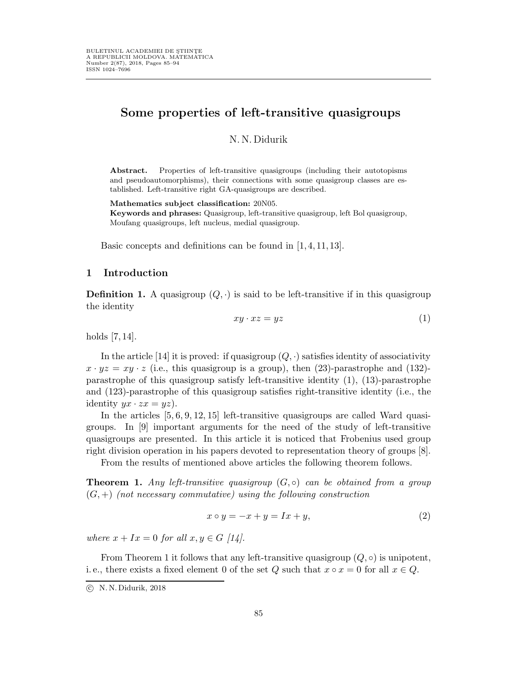# Some properties of left-transitive quasigroups

# N.N.Didurik

Abstract. Properties of left-transitive quasigroups (including their autotopisms and pseudoautomorphisms), their connections with some quasigroup classes are established. Left-transitive right GA-quasigroups are described.

Mathematics subject classification: 20N05.

Keywords and phrases: Quasigroup, left-transitive quasigroup, left Bol quasigroup, Moufang quasigroups, left nucleus, medial quasigroup.

Basic concepts and definitions can be found in [1, 4, 11, 13].

# 1 Introduction

**Definition 1.** A quasigroup  $(Q, \cdot)$  is said to be left-transitive if in this quasigroup the identity

$$
xy \cdot xz = yz \tag{1}
$$

holds [7, 14].

In the article [14] it is proved: if quasigroup  $(Q, \cdot)$  satisfies identity of associativity  $x \cdot yz = xy \cdot z$  (i.e., this quasigroup is a group), then (23)-parastrophe and (132)parastrophe of this quasigroup satisfy left-transitive identity (1), (13)-parastrophe and (123)-parastrophe of this quasigroup satisfies right-transitive identity (i.e., the identity  $yx \cdot zx = yz$ ).

In the articles [5, 6, 9, 12, 15] left-transitive quasigroups are called Ward quasigroups. In [9] important arguments for the need of the study of left-transitive quasigroups are presented. In this article it is noticed that Frobenius used group right division operation in his papers devoted to representation theory of groups [8].

From the results of mentioned above articles the following theorem follows.

**Theorem 1.** Any left-transitive quasigroup  $(G, \circ)$  can be obtained from a group  $(G, +)$  (not necessary commutative) using the following construction

$$
x \circ y = -x + y = Ix + y,\tag{2}
$$

where  $x + Ix = 0$  for all  $x, y \in G$  [14].

From Theorem 1 it follows that any left-transitive quasigroup  $(Q, \circ)$  is unipotent, i.e., there exists a fixed element 0 of the set Q such that  $x \circ x = 0$  for all  $x \in Q$ .

c N. N. Didurik, 2018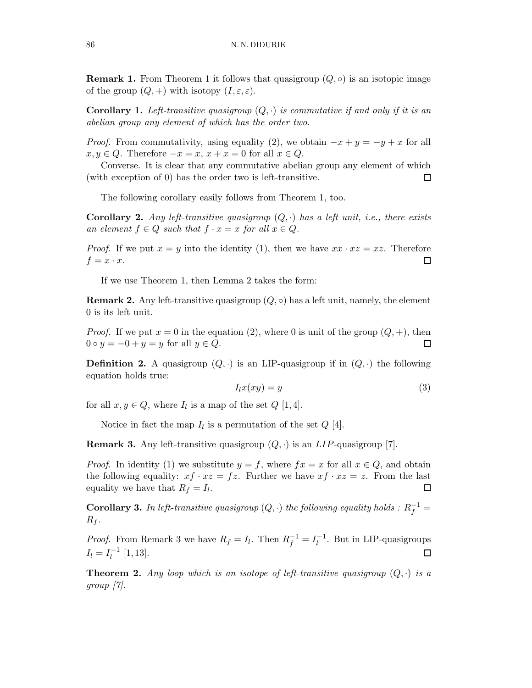**Remark 1.** From Theorem 1 it follows that quasigroup  $(Q, \circ)$  is an isotopic image of the group  $(Q,+)$  with isotopy  $(I,\varepsilon,\varepsilon)$ .

**Corollary 1.** Left-transitive quasigroup  $(Q, \cdot)$  is commutative if and only if it is an abelian group any element of which has the order two.

*Proof.* From commutativity, using equality (2), we obtain  $-x + y = -y + x$  for all  $x, y \in Q$ . Therefore  $-x = x, x + x = 0$  for all  $x \in Q$ .

Converse. It is clear that any commutative abelian group any element of which (with exception of 0) has the order two is left-transitive.  $\Box$ 

The following corollary easily follows from Theorem 1, too.

**Corollary 2.** Any left-transitive quasigroup  $(Q, \cdot)$  has a left unit, i.e., there exists an element  $f \in Q$  such that  $f \cdot x = x$  for all  $x \in Q$ .

*Proof.* If we put  $x = y$  into the identity (1), then we have  $xx \cdot xz = xz$ . Therefore  $f = x \cdot x$ .  $\Box$ 

If we use Theorem 1, then Lemma 2 takes the form:

**Remark 2.** Any left-transitive quasigroup  $(Q, \circ)$  has a left unit, namely, the element 0 is its left unit.

*Proof.* If we put  $x = 0$  in the equation (2), where 0 is unit of the group  $(Q, +)$ , then  $0 \circ y = -0 + y = y$  for all  $y \in Q$ .  $\Box$ 

**Definition 2.** A quasigroup  $(Q, \cdot)$  is an LIP-quasigroup if in  $(Q, \cdot)$  the following equation holds true:

$$
I_l x(xy) = y \tag{3}
$$

for all  $x, y \in Q$ , where  $I_l$  is a map of the set  $Q$  [1,4].

Notice in fact the map  $I_l$  is a permutation of the set  $Q$  [4].

**Remark 3.** Any left-transitive quasigroup  $(Q, \cdot)$  is an LIP-quasigroup [7].

*Proof.* In identity (1) we substitute  $y = f$ , where  $fx = x$  for all  $x \in Q$ , and obtain the following equality:  $xf \cdot xz = fz$ . Further we have  $xf \cdot xz = z$ . From the last equality we have that  $R_f = I_l$ .  $\Box$ 

**Corollary 3.** In left-transitive quasigroup  $(Q, \cdot)$  the following equality holds :  $R_f^{-1}$  =  $R_f$ .

*Proof.* From Remark 3 we have  $R_f = I_l$ . Then  $R_f^{-1} = I_l^{-1}$  $\overline{l}$ <sup>-1</sup>. But in LIP-quasigroups  $I_l = I_l^{-1}$  $\Box$  $\binom{-1}{l}$  [1, 13].

**Theorem 2.** Any loop which is an isotope of left-transitive quasigroup  $(Q, \cdot)$  is a group [7].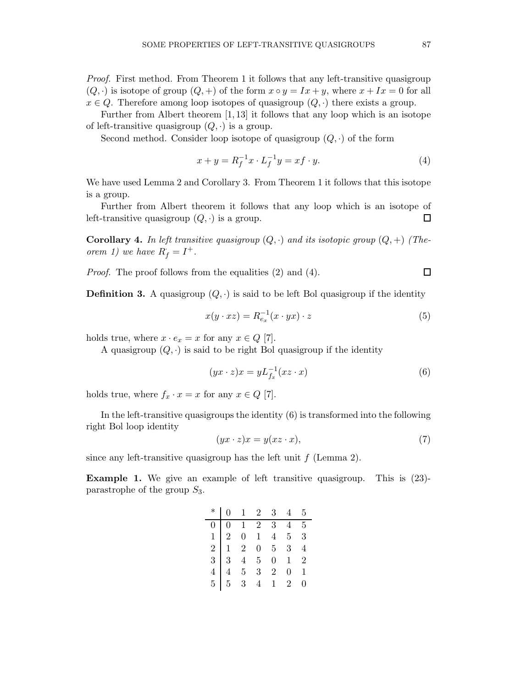Proof. First method. From Theorem 1 it follows that any left-transitive quasigroup  $(Q, \cdot)$  is isotope of group  $(Q, +)$  of the form  $x \circ y = Ix + y$ , where  $x + Ix = 0$  for all  $x \in Q$ . Therefore among loop isotopes of quasigroup  $(Q, \cdot)$  there exists a group.

Further from Albert theorem [1, 13] it follows that any loop which is an isotope of left-transitive quasigroup  $(Q, \cdot)$  is a group.

Second method. Consider loop isotope of quasigroup  $(Q, \cdot)$  of the form

$$
x + y = R_f^{-1}x \cdot L_f^{-1}y = xf \cdot y.
$$
 (4)

We have used Lemma 2 and Corollary 3. From Theorem 1 it follows that this isotope is a group.

Further from Albert theorem it follows that any loop which is an isotope of left-transitive quasigroup  $(Q, \cdot)$  is a group.  $\Box$ 

**Corollary 4.** In left transitive quasigroup  $(Q, \cdot)$  and its isotopic group  $(Q, +)$  (Theorem 1) we have  $R_f = I^+$ .

Proof. The proof follows from the equalities (2) and (4).

**Definition 3.** A quasigroup  $(Q, \cdot)$  is said to be left Bol quasigroup if the identity

$$
x(y \cdot xz) = R_{e_x}^{-1}(x \cdot yx) \cdot z \tag{5}
$$

holds true, where  $x \cdot e_x = x$  for any  $x \in Q$  [7].

A quasigroup  $(Q, \cdot)$  is said to be right Bol quasigroup if the identity

$$
(yx \cdot z)x = yL_{f_x}^{-1}(xz \cdot x) \tag{6}
$$

holds true, where  $f_x \cdot x = x$  for any  $x \in Q$  [7].

In the left-transitive quasigroups the identity (6) is transformed into the following right Bol loop identity

$$
(yx \cdot z)x = y(xz \cdot x),\tag{7}
$$

since any left-transitive quasigroup has the left unit  $f$  (Lemma 2).

Example 1. We give an example of left transitive quasigroup. This is (23) parastrophe of the group  $S_3$ .

| $\begin{array}{c cccccc} * & 0 & 1 & 2 & 3 & 4 & 5 \\ \hline 0 & 0 & 1 & 2 & 3 & 4 & 5 \\ 1 & 2 & 0 & 1 & 4 & 5 & 3 \\ 2 & 1 & 2 & 0 & 5 & 3 & 4 \\ 3 & 3 & 4 & 5 & 0 & 1 & 2 \\ 4 & 4 & 5 & 3 & 2 & 0 & 1 \\ 5 & 5 & 3 & 4 & 1 & 2 & 0 \\ \end{array}$ |  |  |  |
|---------------------------------------------------------------------------------------------------------------------------------------------------------------------------------------------------------------------------------------------------------|--|--|--|
|                                                                                                                                                                                                                                                         |  |  |  |
|                                                                                                                                                                                                                                                         |  |  |  |
|                                                                                                                                                                                                                                                         |  |  |  |
|                                                                                                                                                                                                                                                         |  |  |  |
|                                                                                                                                                                                                                                                         |  |  |  |
|                                                                                                                                                                                                                                                         |  |  |  |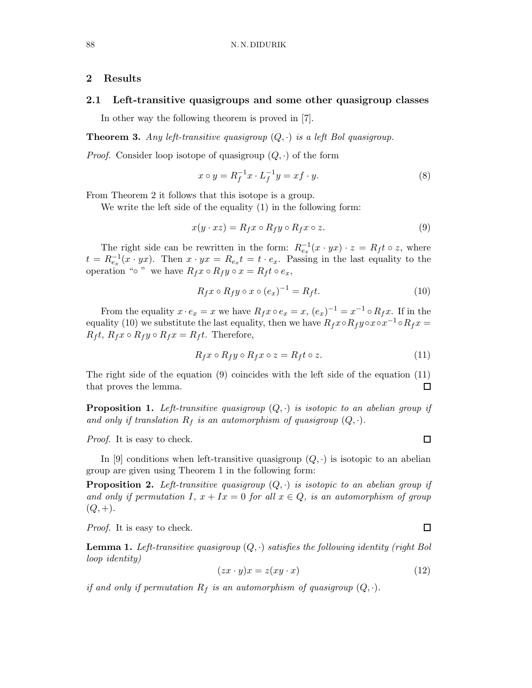#### 2 Results

## 2.1 Left-transitive quasigroups and some other quasigroup classes

In other way the following theorem is proved in [7].

**Theorem 3.** Any left-transitive quasigroup  $(Q, \cdot)$  is a left Bol quasigroup.

*Proof.* Consider loop isotope of quasigroup  $(Q, \cdot)$  of the form

$$
x \circ y = R_f^{-1}x \cdot L_f^{-1}y = xf \cdot y. \tag{8}
$$

From Theorem 2 it follows that this isotope is a group.

We write the left side of the equality (1) in the following form:

$$
x(y \cdot xz) = R_f x \circ R_f y \circ R_f x \circ z. \tag{9}
$$

The right side can be rewritten in the form:  $R_{e_x}^{-1}(x \cdot yx) \cdot z = R_f t \circ z$ , where  $t = R_{e_x}^{-1}(x \cdot yx)$ . Then  $x \cdot yx = R_{e_x}t = t \cdot e_x$ . Passing in the last equality to the operation "◦ " we have  $R_f x ∘ R_f y ∘ x = R_f t ∘ e_x$ ,

$$
R_f x \circ R_f y \circ x \circ (e_x)^{-1} = R_f t. \tag{10}
$$

From the equality  $x \cdot e_x = x$  we have  $R_f x \circ e_x = x$ ,  $(e_x)^{-1} = x^{-1} \circ R_f x$ . If in the equality (10) we substitute the last equality, then we have  $R_f x \circ R_f y \circ x \circ x^{-1} \circ R_f x =$  $R_f t$ ,  $R_f x \circ R_f y \circ R_f x = R_f t$ . Therefore,

$$
R_f x \circ R_f y \circ R_f x \circ z = R_f t \circ z. \tag{11}
$$

The right side of the equation (9) coincides with the left side of the equation (11) that proves the lemma.  $\Box$ 

**Proposition 1.** Left-transitive quasigroup  $(Q, \cdot)$  is isotopic to an abelian group if and only if translation  $R_f$  is an automorphism of quasigroup  $(Q, \cdot)$ .

Proof. It is easy to check.

In [9] conditions when left-transitive quasigroup  $(Q, \cdot)$  is isotopic to an abelian group are given using Theorem 1 in the following form:

**Proposition 2.** Left-transitive quasigroup  $(Q, \cdot)$  is isotopic to an abelian group if and only if permutation I,  $x + Ix = 0$  for all  $x \in Q$ , is an automorphism of group  $(Q, +).$ 

Proof. It is easy to check.

**Lemma 1.** Left-transitive quasigroup  $(Q, \cdot)$  satisfies the following identity (right Bol loop identity)

$$
(zx \cdot y)x = z(xy \cdot x) \tag{12}
$$

if and only if permutation  $R_f$  is an automorphism of quasigroup  $(Q, \cdot)$ .

 $\Box$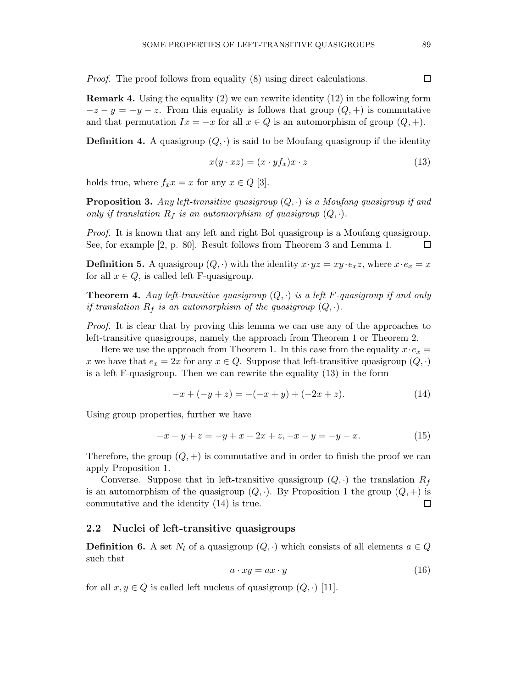Proof. The proof follows from equality (8) using direct calculations.

Remark 4. Using the equality (2) we can rewrite identity (12) in the following form  $-z - y = -y - z$ . From this equality is follows that group  $(Q, +)$  is commutative and that permutation  $Ix = -x$  for all  $x \in Q$  is an automorphism of group  $(Q, +)$ .

**Definition 4.** A quasigroup  $(Q, \cdot)$  is said to be Moufang quasigroup if the identity

$$
x(y \cdot xz) = (x \cdot yf_x)x \cdot z \tag{13}
$$

holds true, where  $f_x x = x$  for any  $x \in Q$  [3].

**Proposition 3.** Any left-transitive quasigroup  $(Q, \cdot)$  is a Moufang quasigroup if and only if translation  $R_f$  is an automorphism of quasigroup  $(Q, \cdot)$ .

Proof. It is known that any left and right Bol quasigroup is a Moufang quasigroup. See, for example [2, p. 80]. Result follows from Theorem 3 and Lemma 1.  $\Box$ 

**Definition 5.** A quasigroup  $(Q, \cdot)$  with the identity  $x \cdot yz = xy \cdot e_xz$ , where  $x \cdot e_x = x$ for all  $x \in Q$ , is called left F-quasigroup.

**Theorem 4.** Any left-transitive quasigroup  $(Q, \cdot)$  is a left F-quasigroup if and only if translation  $R_f$  is an automorphism of the quasigroup  $(Q, \cdot)$ .

Proof. It is clear that by proving this lemma we can use any of the approaches to left-transitive quasigroups, namely the approach from Theorem 1 or Theorem 2.

Here we use the approach from Theorem 1. In this case from the equality  $x \cdot e_x =$ x we have that  $e_x = 2x$  for any  $x \in Q$ . Suppose that left-transitive quasigroup  $(Q, \cdot)$ is a left F-quasigroup. Then we can rewrite the equality (13) in the form

$$
-x + (-y + z) = -(-x + y) + (-2x + z).
$$
 (14)

Using group properties, further we have

$$
-x - y + z = -y + x - 2x + z, \quad -x - y = -y - x. \tag{15}
$$

Therefore, the group  $(Q,+)$  is commutative and in order to finish the proof we can apply Proposition 1.

Converse. Suppose that in left-transitive quasigroup  $(Q, \cdot)$  the translation  $R_f$ is an automorphism of the quasigroup  $(Q, \cdot)$ . By Proposition 1 the group  $(Q, +)$  is commutative and the identity (14) is true.  $\Box$ 

# 2.2 Nuclei of left-transitive quasigroups

**Definition 6.** A set  $N_l$  of a quasigroup  $(Q, \cdot)$  which consists of all elements  $a \in Q$ such that

$$
a \cdot xy = ax \cdot y \tag{16}
$$

for all  $x, y \in Q$  is called left nucleus of quasigroup  $(Q, \cdot)$  [11].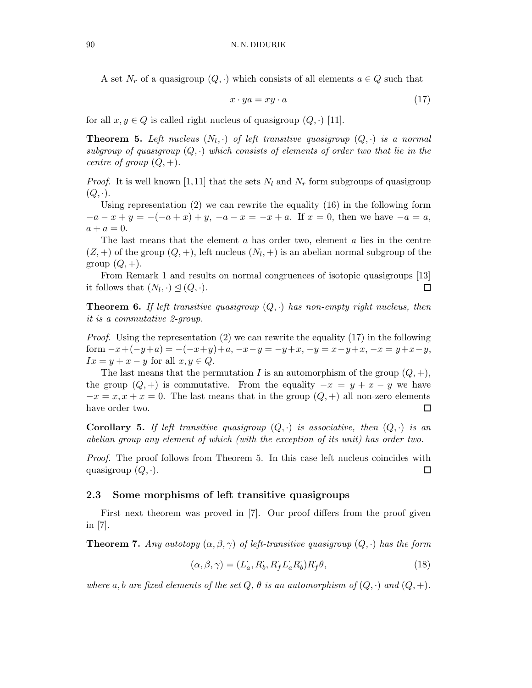A set  $N_r$  of a quasigroup  $(Q, \cdot)$  which consists of all elements  $a \in Q$  such that

$$
x \cdot ya = xy \cdot a \tag{17}
$$

for all  $x, y \in Q$  is called right nucleus of quasigroup  $(Q, \cdot)$  [11].

**Theorem 5.** Left nucleus  $(N_l, \cdot)$  of left transitive quasigroup  $(Q, \cdot)$  is a normal subgroup of quasigroup  $(Q, \cdot)$  which consists of elements of order two that lie in the centre of group  $(Q, +)$ .

*Proof.* It is well known [1,11] that the sets  $N_l$  and  $N_r$  form subgroups of quasigroup  $(Q, \cdot).$ 

Using representation  $(2)$  we can rewrite the equality  $(16)$  in the following form  $-a-x+y = -(-a+x) + y, -a-x = -x+a$ . If  $x = 0$ , then we have  $-a = a$ ,  $a + a = 0.$ 

The last means that the element  $\alpha$  has order two, element  $\alpha$  lies in the centre  $(Z, +)$  of the group  $(Q, +)$ , left nucleus  $(N_l, +)$  is an abelian normal subgroup of the group  $(Q, +)$ .

From Remark 1 and results on normal congruences of isotopic quasigroups [13] it follows that  $(N_l, \cdot) \trianglelefteq (Q, \cdot)$ .  $\Box$ 

**Theorem 6.** If left transitive quasigroup  $(Q, \cdot)$  has non-empty right nucleus, then it is a commutative 2-group.

*Proof.* Using the representation  $(2)$  we can rewrite the equality  $(17)$  in the following form  $-x+(-y+a) = -(-x+y)+a, -x-y = -y+x, -y = x-y+x, -x = y+x-y,$  $Ix = y + x - y$  for all  $x, y \in Q$ .

The last means that the permutation I is an automorphism of the group  $(Q, +),$ the group  $(Q, +)$  is commutative. From the equality  $-x = y + x - y$  we have  $-x = x, x + x = 0$ . The last means that in the group  $(Q, +)$  all non-zero elements have order two.  $\Box$ 

Corollary 5. If left transitive quasigroup  $(Q, \cdot)$  is associative, then  $(Q, \cdot)$  is an abelian group any element of which (with the exception of its unit) has order two.

Proof. The proof follows from Theorem 5. In this case left nucleus coincides with quasigroup  $(Q, \cdot)$ .  $\Box$ 

#### 2.3 Some morphisms of left transitive quasigroups

First next theorem was proved in [7]. Our proof differs from the proof given in [7].

**Theorem 7.** Any autotopy  $(\alpha, \beta, \gamma)$  of left-transitive quasigroup  $(Q, \cdot)$  has the form

$$
(\alpha, \beta, \gamma) = (L_a, R_b, R_f L_a R_b) R_f \theta,
$$
\n(18)

where a, b are fixed elements of the set  $Q, \theta$  is an automorphism of  $(Q, \cdot)$  and  $(Q, +)$ .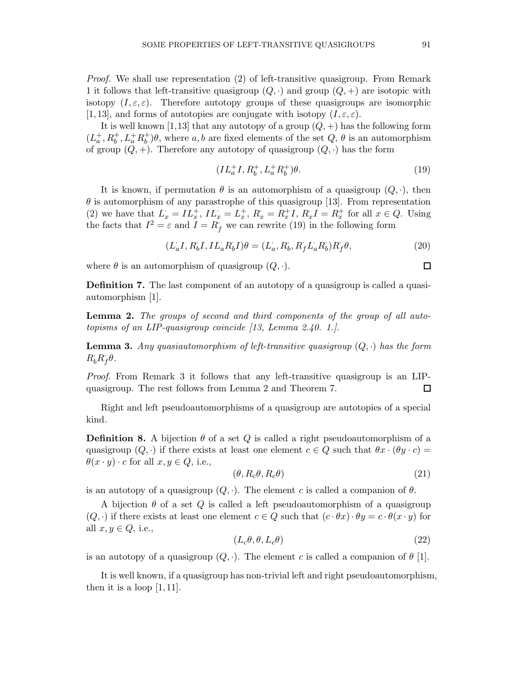Proof. We shall use representation (2) of left-transitive quasigroup. From Remark 1 it follows that left-transitive quasigroup  $(Q, \cdot)$  and group  $(Q, +)$  are isotopic with isotopy  $(I, \varepsilon, \varepsilon)$ . Therefore autotopy groups of these quasigroups are isomorphic [1, 13], and forms of autotopies are conjugate with isotopy  $(I, \varepsilon, \varepsilon)$ .

It is well known [1,13] that any autotopy of a group  $(Q, +)$  has the following form  $({\cal L}_a^+,{\cal R}_b^+,{\cal L}_a^+{\cal R}_b^+$  $\phi_b^{\dagger}$ ) $\theta$ , where  $a, b$  are fixed elements of the set  $Q, \theta$  is an automorphism of group  $(Q, +)$ . Therefore any autotopy of quasigroup  $(Q, \cdot)$  has the form

$$
(IL_a^+I, R_b^+, L_a^+R_b^+)\theta.
$$
 (19)

It is known, if permutation  $\theta$  is an automorphism of a quasigroup  $(Q, \cdot)$ , then  $\theta$  is automorphism of any parastrophe of this quasigroup [13]. From representation (2) we have that  $L_x = IL_x^+, IL_x = L_x^+, R_x = R_x^+, R_xI = R_x^+$  for all  $x \in Q$ . Using the facts that  $I^2 = \varepsilon$  and  $I = R_f$  we can rewrite (19) in the following form

$$
(L_aI, R_bI, IL_aR_bI)\theta = (L_a, R_b, R_fL_aR_b)R_f\theta,
$$
\n(20)

where  $\theta$  is an automorphism of quasigroup  $(Q, \cdot)$ .

Definition 7. The last component of an autotopy of a quasigroup is called a quasiautomorphism [1].

Lemma 2. The groups of second and third components of the group of all autotopisms of an LIP-quasigroup coincide [13, Lemma 2.40. 1.].

**Lemma 3.** Any quasiautomorphism of left-transitive quasigroup  $(Q, \cdot)$  has the form  $R_b^{\dagger}R_f^{\dagger}\theta.$ 

Proof. From Remark 3 it follows that any left-transitive quasigroup is an LIPquasigroup. The rest follows from Lemma 2 and Theorem 7.  $\Box$ 

Right and left pseudoautomorphisms of a quasigroup are autotopies of a special kind.

**Definition 8.** A bijection  $\theta$  of a set Q is called a right pseudoautomorphism of a quasigroup  $(Q, \cdot)$  if there exists at least one element  $c \in Q$  such that  $\theta x \cdot (\theta y \cdot c) =$  $\theta(x \cdot y) \cdot c$  for all  $x, y \in Q$ , i.e.,

$$
(\theta, R_c \theta, R_c \theta) \tag{21}
$$

is an autotopy of a quasigroup  $(Q, \cdot)$ . The element c is called a companion of  $\theta$ .

A bijection  $\theta$  of a set Q is called a left pseudoautomorphism of a quasigroup  $(Q, \cdot)$  if there exists at least one element  $c \in Q$  such that  $(c \cdot \theta x) \cdot \theta y = c \cdot \theta(x \cdot y)$  for all  $x, y \in Q$ , i.e.,

$$
(L_c \theta, \theta, L_c \theta) \tag{22}
$$

is an autotopy of a quasigroup  $(Q, \cdot)$ . The element c is called a companion of  $\theta$  [1].

It is well known, if a quasigroup has non-trivial left and right pseudoautomorphism, then it is a loop  $[1, 11]$ .

$$
\Box
$$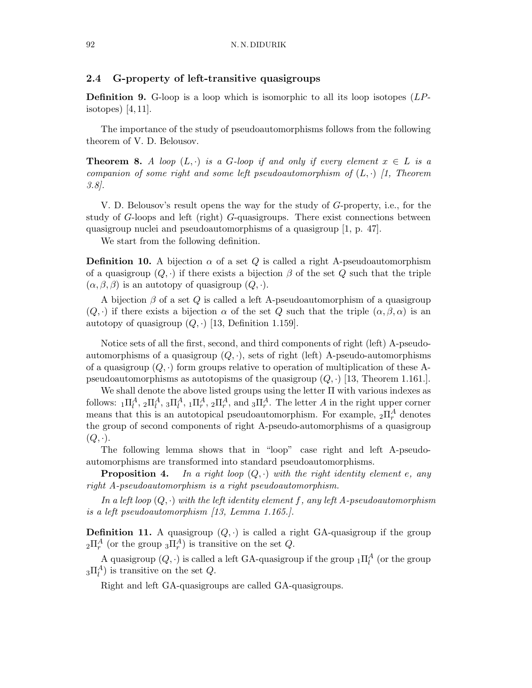### 2.4 G-property of left-transitive quasigroups

**Definition 9.** G-loop is a loop which is isomorphic to all its loop isotopes  $(LP$ isotopes) [4, 11].

The importance of the study of pseudoautomorphisms follows from the following theorem of V. D. Belousov.

**Theorem 8.** A loop  $(L, \cdot)$  is a G-loop if and only if every element  $x \in L$  is a companion of some right and some left pseudoautomorphism of  $(L, \cdot)$  [1, Theorem 3.8].

V. D. Belousov's result opens the way for the study of G-property, i.e., for the study of G-loops and left (right) G-quasigroups. There exist connections between quasigroup nuclei and pseudoautomorphisms of a quasigroup [1, p. 47].

We start from the following definition.

**Definition 10.** A bijection  $\alpha$  of a set Q is called a right A-pseudoautomorphism of a quasigroup  $(Q, \cdot)$  if there exists a bijection  $\beta$  of the set  $Q$  such that the triple  $(\alpha, \beta, \beta)$  is an autotopy of quasigroup  $(Q, \cdot)$ .

A bijection  $\beta$  of a set Q is called a left A-pseudoautomorphism of a quasigroup  $(Q, \cdot)$  if there exists a bijection  $\alpha$  of the set Q such that the triple  $(\alpha, \beta, \alpha)$  is an autotopy of quasigroup  $(Q, \cdot)$  [13, Definition 1.159].

Notice sets of all the first, second, and third components of right (left) A-pseudoautomorphisms of a quasigroup  $(Q, \cdot)$ , sets of right (left) A-pseudo-automorphisms of a quasigroup  $(Q, \cdot)$  form groups relative to operation of multiplication of these Apseudoautomorphisms as autotopisms of the quasigroup  $(Q, \cdot)$  [13, Theorem 1.161.].

We shall denote the above listed groups using the letter Π with various indexes as follows:  ${}_{1}\Pi_{l}^{A}$ ,  ${}_{2}\Pi_{l}^{A}$ ,  ${}_{3}\Pi_{l}^{A}$ ,  ${}_{1}\Pi_{r}^{A}$ ,  ${}_{2}\Pi_{r}^{A}$ , and  ${}_{3}\Pi_{r}^{A}$ . The letter A in the right upper corner means that this is an autotopical pseudoautomorphism. For example,  ${}_{2}\Pi_{r}^{A}$  denotes the group of second components of right A-pseudo-automorphisms of a quasigroup  $(Q, \cdot).$ 

The following lemma shows that in "loop" case right and left A-pseudoautomorphisms are transformed into standard pseudoautomorphisms.

**Proposition 4.** In a right loop  $(Q, \cdot)$  with the right identity element e, any right A-pseudoautomorphism is a right pseudoautomorphism.

In a left loop  $(Q, \cdot)$  with the left identity element f, any left A-pseudoautomorphism is a left pseudoautomorphism [13, Lemma 1.165.].

**Definition 11.** A quasigroup  $(Q, \cdot)$  is called a right GA-quasigroup if the group  $_2\Pi_r^A$  (or the group  $_3\Pi_r^A$ ) is transitive on the set  $Q$ .

A quasigroup  $(Q, \cdot)$  is called a left GA-quasigroup if the group  ${}_{1}\Pi_{l}^{A}$  (or the group  $_{3}\Pi_{l}^{A}$ ) is transitive on the set  $Q$ .

Right and left GA-quasigroups are called GA-quasigroups.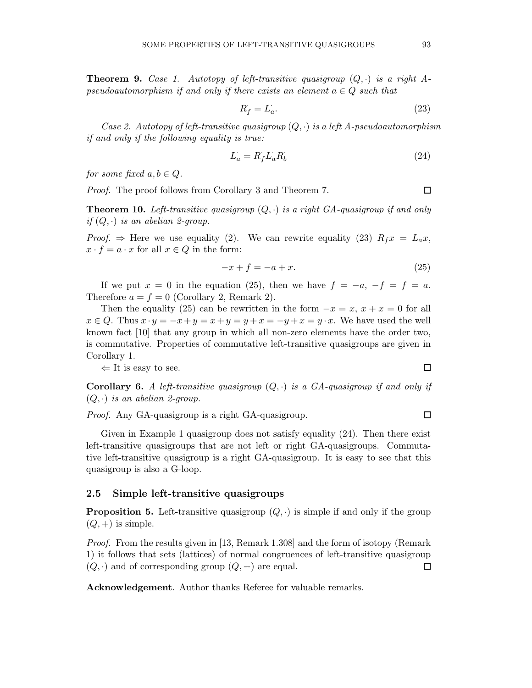**Theorem 9.** Case 1. Autotopy of left-transitive quasigroup  $(Q, \cdot)$  is a right Apseudoautomorphism if and only if there exists an element  $a \in Q$  such that

$$
R_f = L_a. \t\t(23)
$$

Case 2. Autotopy of left-transitive quasigroup  $(Q, \cdot)$  is a left A-pseudoautomorphism if and only if the following equality is true:

$$
L_a = R_f L_a R_b \tag{24}
$$

for some fixed  $a, b \in Q$ .

Proof. The proof follows from Corollary 3 and Theorem 7.

**Theorem 10.** Left-transitive quasigroup  $(Q, \cdot)$  is a right GA-quasigroup if and only if  $(Q, \cdot)$  is an abelian 2-group.

*Proof.*  $\Rightarrow$  Here we use equality (2). We can rewrite equality (23)  $R_f x = L_a x$ ,  $x \cdot f = a \cdot x$  for all  $x \in Q$  in the form:

$$
-x + f = -a + x.\tag{25}
$$

If we put  $x = 0$  in the equation (25), then we have  $f = -a, -f = f = a$ . Therefore  $a = f = 0$  (Corollary 2, Remark 2).

Then the equality (25) can be rewritten in the form  $-x = x$ ,  $x + x = 0$  for all  $x \in Q$ . Thus  $x \cdot y = -x + y = x + y = y + x = -y + x = y \cdot x$ . We have used the well known fact [10] that any group in which all non-zero elements have the order two, is commutative. Properties of commutative left-transitive quasigroups are given in Corollary 1.

 $\Leftarrow$  It is easy to see.

**Corollary 6.** A left-transitive quasigroup  $(Q, \cdot)$  is a GA-quasigroup if and only if  $(Q, \cdot)$  is an abelian 2-group.

Proof. Any GA-quasigroup is a right GA-quasigroup.

Given in Example 1 quasigroup does not satisfy equality (24). Then there exist left-transitive quasigroups that are not left or right GA-quasigroups. Commutative left-transitive quasigroup is a right GA-quasigroup. It is easy to see that this quasigroup is also a G-loop.

#### 2.5 Simple left-transitive quasigroups

**Proposition 5.** Left-transitive quasigroup  $(Q, \cdot)$  is simple if and only if the group  $(Q,+)$  is simple.

Proof. From the results given in [13, Remark 1.308] and the form of isotopy (Remark 1) it follows that sets (lattices) of normal congruences of left-transitive quasigroup  $(Q, \cdot)$  and of corresponding group  $(Q, +)$  are equal.  $\Box$ 

Acknowledgement. Author thanks Referee for valuable remarks.

 $\Box$ 

 $\Box$